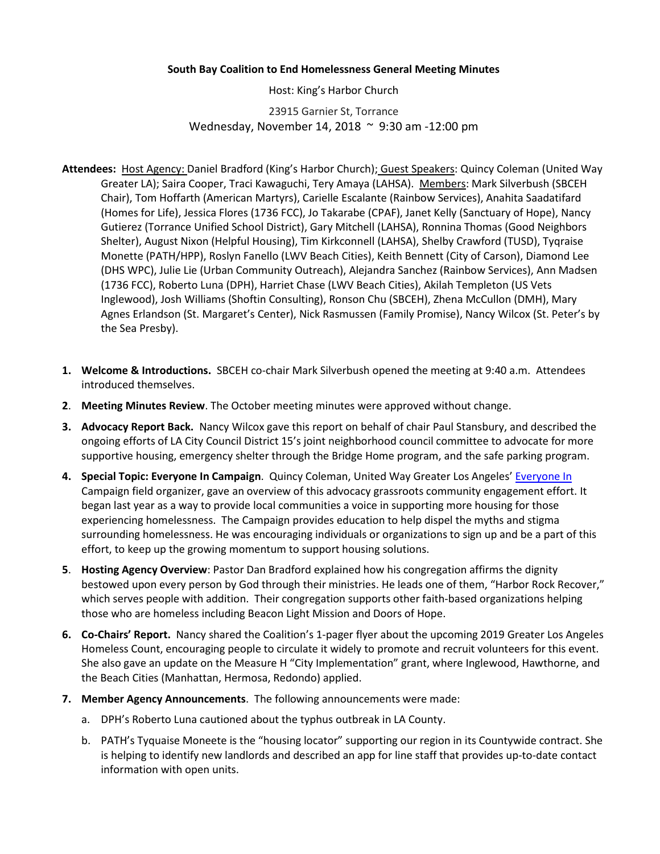## **South Bay Coalition to End Homelessness General Meeting Minutes**

Host: King's Harbor Church

23915 Garnier St, Torrance Wednesday, November 14, 2018 ~ 9:30 am -12:00 pm

- **Attendees:** Host Agency: Daniel Bradford (King's Harbor Church); Guest Speakers: Quincy Coleman (United Way Greater LA); Saira Cooper, Traci Kawaguchi, Tery Amaya (LAHSA). Members: Mark Silverbush (SBCEH Chair), Tom Hoffarth (American Martyrs), Carielle Escalante (Rainbow Services), Anahita Saadatifard (Homes for Life), Jessica Flores (1736 FCC), Jo Takarabe (CPAF), Janet Kelly (Sanctuary of Hope), Nancy Gutierez (Torrance Unified School District), Gary Mitchell (LAHSA), Ronnina Thomas (Good Neighbors Shelter), August Nixon (Helpful Housing), Tim Kirkconnell (LAHSA), Shelby Crawford (TUSD), Tyqraise Monette (PATH/HPP), Roslyn Fanello (LWV Beach Cities), Keith Bennett (City of Carson), Diamond Lee (DHS WPC), Julie Lie (Urban Community Outreach), Alejandra Sanchez (Rainbow Services), Ann Madsen (1736 FCC), Roberto Luna (DPH), Harriet Chase (LWV Beach Cities), Akilah Templeton (US Vets Inglewood), Josh Williams (Shoftin Consulting), Ronson Chu (SBCEH), Zhena McCullon (DMH), Mary Agnes Erlandson (St. Margaret's Center), Nick Rasmussen (Family Promise), Nancy Wilcox (St. Peter's by the Sea Presby).
- **1. Welcome & Introductions.** SBCEH co-chair Mark Silverbush opened the meeting at 9:40 a.m. Attendees introduced themselves.
- **2**. **Meeting Minutes Review**. The October meeting minutes were approved without change.
- **3. Advocacy Report Back.** Nancy Wilcox gave this report on behalf of chair Paul Stansbury, and described the ongoing efforts of LA City Council District 15's joint neighborhood council committee to advocate for more supportive housing, emergency shelter through the Bridge Home program, and the safe parking program.
- **4. Special Topic: Everyone In Campaign**. Quincy Coleman, United Way Greater Los Angeles' [Everyone In](http://everyoneinla.org/) Campaign field organizer, gave an overview of this advocacy grassroots community engagement effort. It began last year as a way to provide local communities a voice in supporting more housing for those experiencing homelessness. The Campaign provides education to help dispel the myths and stigma surrounding homelessness. He was encouraging individuals or organizations to sign up and be a part of this effort, to keep up the growing momentum to support housing solutions.
- **5**. **Hosting Agency Overview**: Pastor Dan Bradford explained how his congregation affirms the dignity bestowed upon every person by God through their ministries. He leads one of them, "Harbor Rock Recover," which serves people with addition. Their congregation supports other faith-based organizations helping those who are homeless including Beacon Light Mission and Doors of Hope.
- **6. Co-Chairs' Report.** Nancy shared the Coalition's 1-pager flyer about the upcoming 2019 Greater Los Angeles Homeless Count, encouraging people to circulate it widely to promote and recruit volunteers for this event. She also gave an update on the Measure H "City Implementation" grant, where Inglewood, Hawthorne, and the Beach Cities (Manhattan, Hermosa, Redondo) applied.
- **7. Member Agency Announcements**. The following announcements were made:
	- a. DPH's Roberto Luna cautioned about the typhus outbreak in LA County.
	- b. PATH's Tyquaise Moneete is the "housing locator" supporting our region in its Countywide contract. She is helping to identify new landlords and described an app for line staff that provides up-to-date contact information with open units.